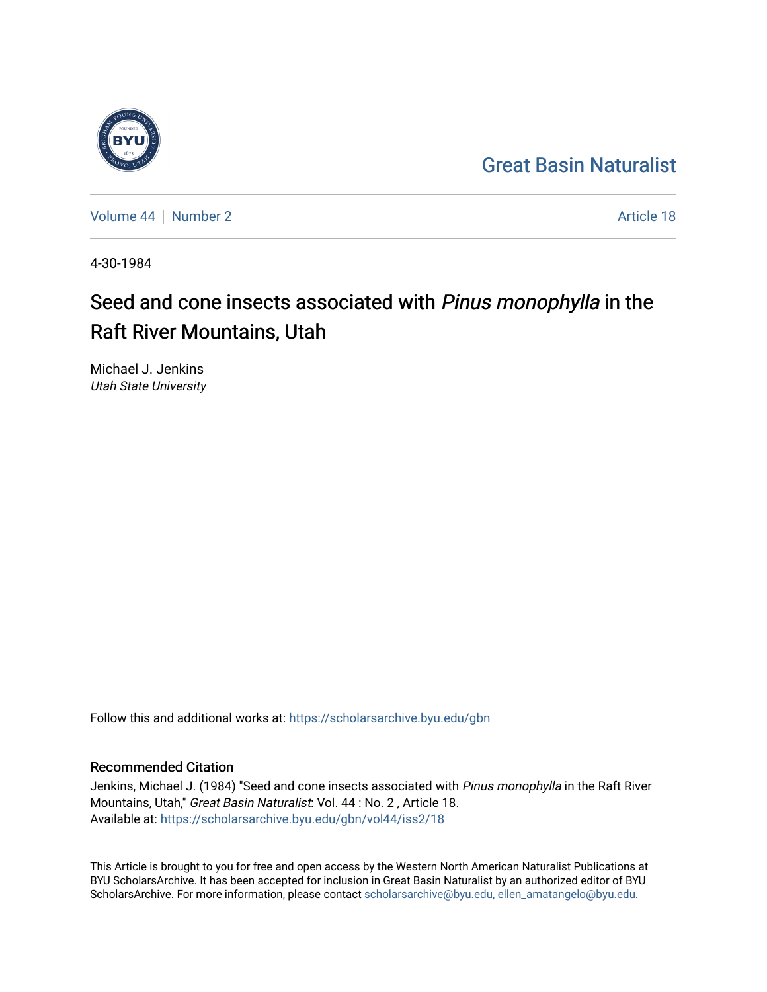## [Great Basin Naturalist](https://scholarsarchive.byu.edu/gbn)



[Volume 44](https://scholarsarchive.byu.edu/gbn/vol44) | [Number 2](https://scholarsarchive.byu.edu/gbn/vol44/iss2) Article 18

4-30-1984

# Seed and cone insects associated with Pinus monophylla in the Raft River Mountains, Utah

Michael J. Jenkins Utah State University

Follow this and additional works at: [https://scholarsarchive.byu.edu/gbn](https://scholarsarchive.byu.edu/gbn?utm_source=scholarsarchive.byu.edu%2Fgbn%2Fvol44%2Fiss2%2F18&utm_medium=PDF&utm_campaign=PDFCoverPages) 

### Recommended Citation

Jenkins, Michael J. (1984) "Seed and cone insects associated with Pinus monophylla in the Raft River Mountains, Utah," Great Basin Naturalist: Vol. 44 : No. 2 , Article 18. Available at: [https://scholarsarchive.byu.edu/gbn/vol44/iss2/18](https://scholarsarchive.byu.edu/gbn/vol44/iss2/18?utm_source=scholarsarchive.byu.edu%2Fgbn%2Fvol44%2Fiss2%2F18&utm_medium=PDF&utm_campaign=PDFCoverPages) 

This Article is brought to you for free and open access by the Western North American Naturalist Publications at BYU ScholarsArchive. It has been accepted for inclusion in Great Basin Naturalist by an authorized editor of BYU ScholarsArchive. For more information, please contact [scholarsarchive@byu.edu, ellen\\_amatangelo@byu.edu.](mailto:scholarsarchive@byu.edu,%20ellen_amatangelo@byu.edu)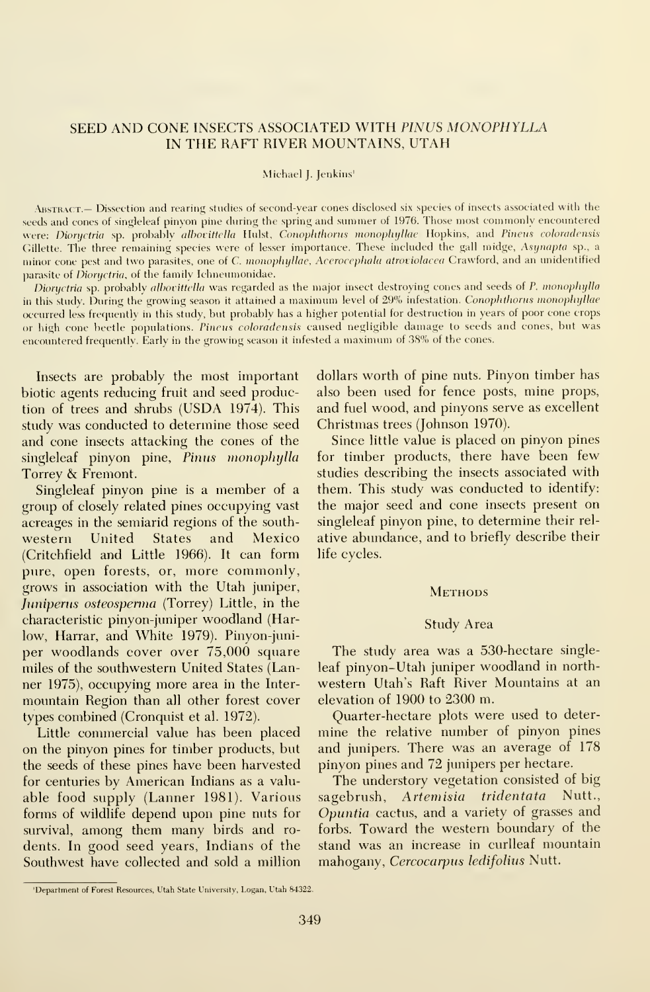#### SEED AND CONE INSECTS ASSOCIATED WITH PINUS MONOPHYLLA IN THE RAFT RIVER MOUNTAINS, UTAH

#### Michael J. Jenkins'

ABSTRACT.— Dissection and rearing studies of second-vear cones disclosed six species of insects associated with the seeds and cones of singleleaf pinvon pine dining the spring and snmmer of 1976. Those most commonly encountered were: Dioryctria sp. probably albovittella Hulst, Conoplithorus monophyllae Hopkins, and Pineus coloradensis Gillette. The three remaining species were of lesser importance. These included the gall midge, Asynapta sp., a minor cone pest and two parasites, one of C. monophyllae, Acerocephala atroviolacea Crawford, and an unidentified parasite of *Dioryctria*, of the family Ichneumonidae.

Dioryctria sp. probably albovittella was regarded as the major insect destroying cones and seeds of P. monophylla in this study. During the growing season it attained a maximum level of 29% infestation. Conophthorus monophyllae occurred less frequently in this study, but probably has <sup>a</sup> higher potential for destruction in years of poor cone crops or high cone beetle populations. Pineus coloradensis caused negligible damage to seeds and cones, but was encountered frequently. Early in the growing season it infested a maximum of 38% of the cones.

Insects are probably the most important biotic agents reducing fruit and seed production of trees and shrubs (USDA 1974). This study was conducted to determine those seed and cone insects attacking the cones of the singleleaf pinyon pine, Pinus monophylla Torrey & Fremont.

Singleleaf pinyon pine is a member of a group of closely related pines occupying vast acreages in the semiarid regions of the south western United States and Mexico (Critchfield and Little 1966). It can form pure, open forests, or, more commonly, grows in association with the Utah juniper, Juniperus osteosperma (Torrey) Little, in the characteristic pinyon-juniper woodland (Harlow, Harrar, and White 1979). Pinyon-juniper woodlands cover over 75,000 square miles of the southwestern United States (Lanner 1975), occupying more area in the Inter mountain Region than all other forest cover types combined (Cronquist et al. 1972).

Little commercial value has been placed on the pinyon pines for timber products, but the seeds of these pines have been harvested for centuries by American Indians as a valu able food supply (Lanner 1981). Various forms of wildlife depend upon pine nuts for survival, among them many birds and ro dents. In good seed years, Indians of the Southwest have collected and sold a million

dollars worth of pine nuts. Pinyon timber has also been used for fence posts, mine props, and fuel wood, and pinyons serve as excellent Christmas trees (Johnson 1970).

Since little value is placed on pinyon pines for timber products, there have been few studies describing the insects associated with them. This study was conducted to identify: the major seed and cone insects present on singleleaf pinyon pine, to determine their rel ative abundance, and to briefly describe their life cycles.

#### **METHODS**

#### Study Area

The study area was a 530-hectare single leaf pinyon-Utah juniper woodland in north western Utah's Raft River Mountains at an elevation of 1900 to 2300 m.

Quarter-hectare plots were used to deter mine the relative number of pinyon pines and junipers. There was an average of 178 pinyon pines and 72 junipers per hectare.

The understory vegetation consisted of big sagebrush, Artemisia tridentata Nutt., Opuntia cactus, and a variety of grasses and forbs. Toward the western boundary of the stand was an increase in curlleaf mountain mahogany, Cercocarpus ledifolius Nutt.

<sup>&#</sup>x27;Department of Forest Resources, Utah State University, Logan, Utah 84322.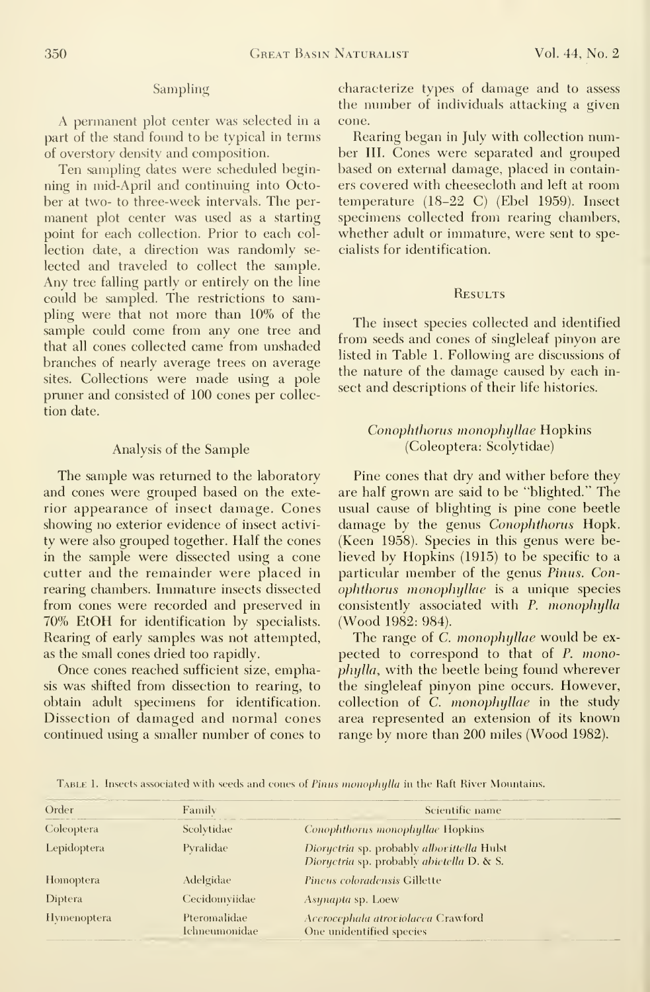#### Sampling

A permanent plot center was selected in <sup>a</sup> part of the stand found to be typical in terms of overstory density and composition.

Ten sampling dates were scheduled beginning in mid-April and continuing into October at two- to three-week intervals. The per manent plot center was used as a starting point for each collection. Prior to each col lection date, a direction was randomly se lected and traveled to collect the sample. Any tree falling partly or entirely on the line could be sampled. The restrictions to sampling were that not more than 10% of the sample could come from any one tree and that all cones collected came from unshaded branches of nearly average trees on average sites. Collections were made using a pole pnmer and consisted of 100 cones per collection date.

#### Analysis of the Sample

The sample was returned to the laboratory and cones were grouped based on the exterior appearance of insect damage. Cones showing no exterior evidence of insect activi ty were also grouped together. Half the cones in the sample were dissected using a cone cutter and the remainder were placed in rearing chambers. Immature insects dissected from cones were recorded and preserved in 70% EtOH for identification by specialists. Rearing of early samples was not attempted, as the small cones dried too rapidly.

Once cones reached sufficient size, emphasis was shifted from dissection to rearing, to obtain adult specimens for identification. Dissection of damaged and normal cones continued using a smaller number of cones to

characterize types of damage and to assess the number of individuals attacking a given cone.

Rearing began in July with collection number III. Cones were separated and grouped based on external damage, placed in containers covered with cheesecloth and left at room temperature (18-22 C) (Ebel 1959). Insect specimens collected from rearing chambers, whether adult or immature, were sent to specialists for identification.

#### **RESULTS**

The insect species collected and identified from seeds and cones of singleleaf pinyon are listed in Table 1. Following are discussions of the nature of the damage caused by each in sect and descriptions of their life histories.

#### Conophthorus monophyllae Hopkins (Coleoptera: Scolytidae)

Pine cones that dry and wither before they are half grown are said to be "blighted." The usual cause of blighting is pine cone beetle damage by the genus Conophthorus Hopk. (Keen 1958). Species in this genus were believed by Hopkins (1915) to be specific to a particular member of the genus Pinus. Conophthorus monophijUae is a unique species consistently associated with P. monophylla (Wood 1982: 984).

The range of C. monophyllae would be expected to correspond to that of P. monophylla, with the beetle being found wherever the singleleaf pinyon pine occurs. However, collection of C. monophyllae in the study area represented an extension of its known range by more than 200 miles (Wood 1982).

TABLE 1. Insects associated with seeds and cones of Pinus monophylla in the Raft River Mountains.

| Order              | Family                        | Scientific name                                                                         |  |  |  |  |
|--------------------|-------------------------------|-----------------------------------------------------------------------------------------|--|--|--|--|
| Coleoptera         | Scolytidae                    | Conophthorus monophyllae Hopkins                                                        |  |  |  |  |
| Lepidoptera        | Pyralidae                     | Dioryctria sp. probably alborittella Hulst<br>Dioryctria sp. probably abietella D. & S. |  |  |  |  |
| <b>Homoptera</b>   | Adelgidae                     | Pineus coloradensis Gillette                                                            |  |  |  |  |
| Diptera            | Cecidomyiidae                 | Asynapta sp. Loew                                                                       |  |  |  |  |
| <b>Hymenoptera</b> | Pteromalidae<br>Ichneumonidae | Acerocephala atroviolacea Crawford<br>One unidentified species                          |  |  |  |  |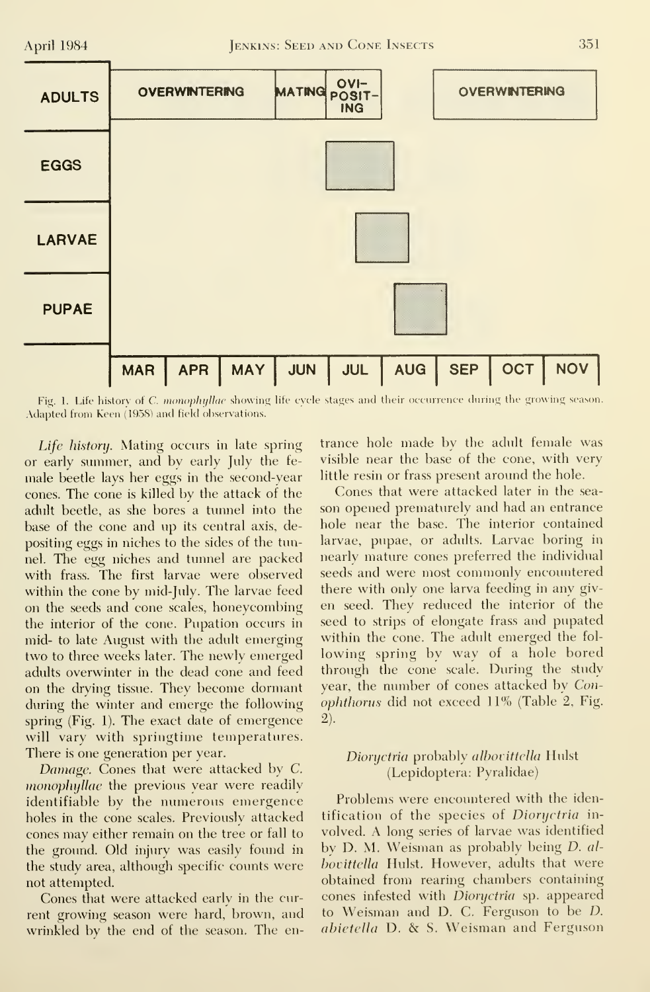

Fig. 1. Life history of C. monophyllae showing life cycle stages and their occurrence during the growing season. Adapted from Keen (1958) and field observations.

Life history. Mating occurs in late spring or early summer, and by early July the fe male beetle lays her eggs in the second-year cones. The cone iskilled by the attack of the adult beetle, as she bores a tunnel into the base of the cone and up its central axis, depositing eggs in niches to the sides of the tunnel. The egg niches and tunnel are packed with frass. The first larvae were observed within the cone by mid-July. The larvae feed on the seeds and cone scales, honeycombing the interior of the cone. Pupation occurs in mid- to late August with the adult emerging two to three weeks later. The newly emerged adults overwinter in the dead cone and feed on the drying tissue. They become dormant during the winter and emerge the following spring (Fig. 1). The exact date of emergence will vary with springtime temperatures. There is one generation per year.

Damage. Cones that were attacked by C. monophyllae the previous year were readily identifiable by the numerous emergence holes in the cone scales. Previously attacked cones may either remain on the tree or fall to the ground. Old injiuy was easily found in the study area, although specific counts were not attempted.

Cones that were attacked early in the current growing season were hard, brown, and wrinkled by the end of the season. The en-

trance hole made by the adult female was visible near the base of the cone, with very little resin or frass present around the hole.

Cones that were attacked later in the sea son opened prematurely and had an entrance hole near the base. The interior contained larvae, pupae, or adults. Larvae boring in nearly mature cones preferred the individual seeds and were most commonly encountered there with only one larva feeding in any giv en seed. They reduced the interior of the seed to strips of elongate frass and pupated within the cone. The adult emerged the fol lowing spring by way of <sup>a</sup> hole bored through the cone scale. During the study year, the number of cones attacked by Conophtliorus did not exceed 11% (Table 2, Fig. 2).

#### Dioryctria probably albovittella Hulst (Lepidoptera: Pyralidae)

Problems were encountered with the identification of the species of *Dioryctria* involved. A long series of larvae was identified by D. M. Weisman as probably being D. al bovittella Hulst. However, adults that were obtained from rearing chambers containing cones infested with Dioryctria sp. appeared to Weisman and D. C. Ferguson to be D. abietella D. & S. Weisman and Ferguson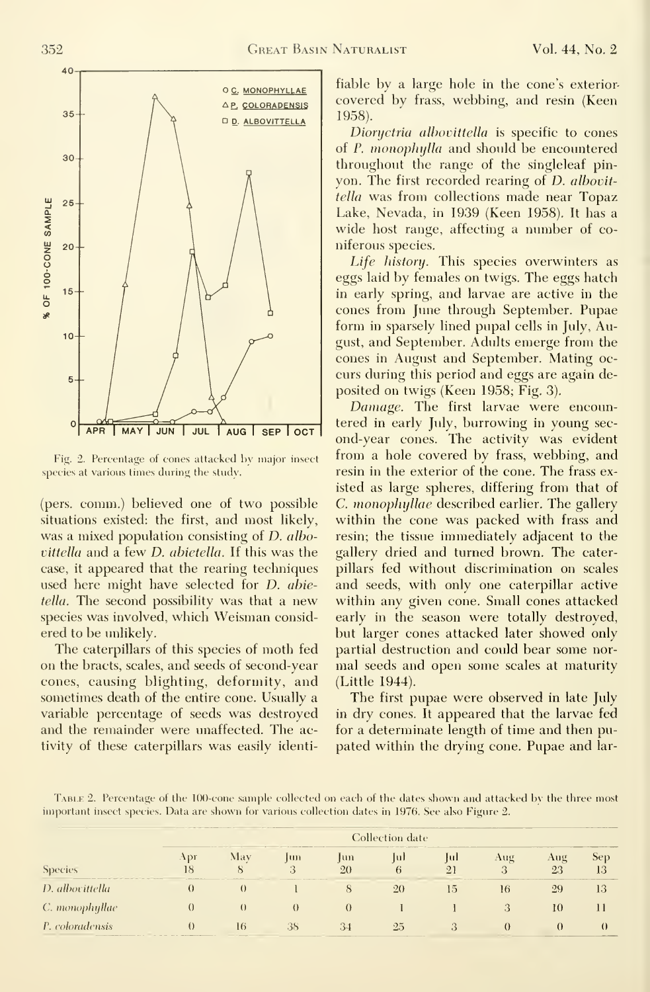

Fig. 2. Percentage of cones attacked by major insect species at various times during the study.

(pers. comm.) believed one of two possible situations existed: the first, and most likely, was a mixed population consisting of *D. albo*vittella and a few D. ahietella. If this was the case, it appeared that the rearing techniques used here might have selected for D. ahietella. The second possibility was that a new species was involved, which Weisman considered to be imlikely.

The caterpillars of this species of moth fed on the bracts, scales, and seeds of second-year cones, causing blighting, deformity, and sometimes death of the entire cone. Usually a variable percentage of seeds was destroyed and the remainder were unaffected. The activity of these caterpillars was easily identi-

fiable by a large hole in the cone's exterior covered by frass, webbing, and resin (Keen 1958).

Dioryctria alhovittella is specific to cones of P. monophylla and should be encountered throughout the range of the singleleaf pin yon. The first recorded rearing of *D. albovit*tella was from collections made near Topaz Lake, Nevada, in 1939 (Keen 1958). It has a wide host range, affecting a number of co niferous species.

Life history. This species overwinters as eggs laid by females on twigs. The eggs hatch in early spring, and larvae are active in the cones from June through September. Pupae form in sparsely lined pupal cells in July, August, and September. Adults emerge from the cones in August and September. Mating oc curs during this period and eggs are again de posited on twigs (Keen 1958; Fig. 3).

Damage. The first larvae were encountered in early July, burrowing in young sec ond-year cones. The activity was evident from a hole covered by frass, webbing, and resin in the exterior of the cone. The frass existed as large spheres, differing from that of C. monophyllae described earlier. The gallery within the cone was packed with frass and resin; the tissue immediately adjacent to the gallery dried and turned brown. The caterpillars fed without discrimination on scales and seeds, with only one caterpillar active within any given cone. Small cones attacked early in the season were totally destroyed, but larger cones attacked later showed only partial destruction and could bear some nor mal seeds and open some scales at maturity (Little 1944).

The first pupae were observed in late July in dry cones. It appeared that the larvae fed for a determinate length of time and then pu pated within the drying cone. Pupae and lar-

Table 2. Percentage of the 100-cone sample collected on each of the dates shown and attacked bv the three most mportant insect species. Data are shown for various collection dates in 1976. See also Figure 2.

| __<br>Species                                                                                                  | <b>COLLEGE AND COLLEGE AND VICE AND VEHICLE</b><br>the control of the control of the control of the control of the control of the control of<br>the property and the property of the con-<br>Collection date |                                                                                                                                                                                                                                      |                                                                                                                        |             |                                                                        |    |                                           |                                                                                                                       |                                                         |  |
|----------------------------------------------------------------------------------------------------------------|--------------------------------------------------------------------------------------------------------------------------------------------------------------------------------------------------------------|--------------------------------------------------------------------------------------------------------------------------------------------------------------------------------------------------------------------------------------|------------------------------------------------------------------------------------------------------------------------|-------------|------------------------------------------------------------------------|----|-------------------------------------------|-----------------------------------------------------------------------------------------------------------------------|---------------------------------------------------------|--|
|                                                                                                                | ADI<br>Iб                                                                                                                                                                                                    | the first state of the Property and Personal Property and the property<br>May                                                                                                                                                        | the contract of the contract of the contract of the contract of the contract of the contract of the contract of<br>lm  | $\mu$<br>20 | the world was send to experience that is a construction of<br>lul<br>h | Įш | Aug<br>. .                                | $Au\sigma$<br>23                                                                                                      | Sep<br>13                                               |  |
| the country and the country of the country and the country of the country of the country of<br>D. albovittella |                                                                                                                                                                                                              | <u> 1980 - 1980 - 1980 - 1980 - 1980 - 1980 - 1980 - 1980 - 1980 - 1980 - 1980 - 1980 - 1980 - 1980 - 1980 - 1980 - 1980 - 1980 - 1980 - 1980 - 1980 - 1980 - 1980 - 1980 - 1980 - 1980 - 1980 - 1980 - 1980 - 1980 - 1980 - 198</u> |                                                                                                                        |             | 20                                                                     | 5. | THE R. P. LEWIS CO., LANSING, MICH.<br>16 | the contract of the contract of the contract of the contract of the contract of the contract of the contract of<br>29 | the party and the party of the party of the party<br>13 |  |
| C. monophyllae                                                                                                 |                                                                                                                                                                                                              |                                                                                                                                                                                                                                      |                                                                                                                        |             |                                                                        |    |                                           | 10                                                                                                                    |                                                         |  |
| P. coloradensis                                                                                                |                                                                                                                                                                                                              | 16                                                                                                                                                                                                                                   | -38<br>the contract of the contract of the contract of the contract of the contract of the contract of the contract of |             | 25                                                                     |    | the property of the property of           | _____                                                                                                                 |                                                         |  |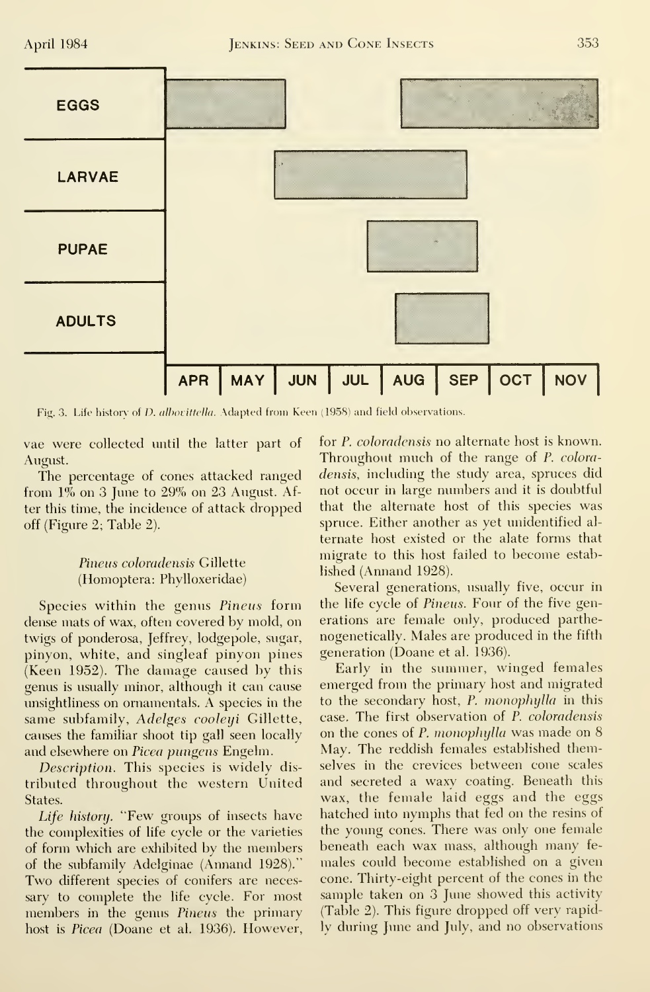

Fig. 3. Life history of *D. albovittella*. Adapted from Keen (1958) and field observations.

vae were collected until the latter part of August.

The percentage of cones attacked ranged from  $1\%$  on 3 June to  $29\%$  on 23 August. After this time, the incidence of attack dropped off (Figure 2; Table 2).

#### Pineus coloradensis Gillette (Homoptera: Phylloxeridae)

Species within the genus Pineus form dense mats of wax, often covered by mold, on twigs of ponderosa, Jeffrey, lodgepole, sugar, pinyon, white, and singleaf pinyon pines (Keen 1952). The damage caused by this genus is usually minor, although it can cause unsightliness on ornamentals. A species in the same subfamily, Adelges cooleyi Gillette, causes the familiar shoot tip gall seen locally and elsewhere on Picea pungens Engelm.

Description. This species is widely distributed throughout the western United States.

Life history. "Few groups of insects have the complexities of life cycle or the varieties of form which are exhibited by the members of the subfamily Adelginae (Annand 1928)." Two different species of conifers are necessary to complete the life cycle. For most members in the genus Pineus the primary host is *Picea* (Doane et al. 1936). However, for P. coloradensis no alternate host is known. Throughout much of the range of P. coloradensis, including the study area, spruces did not occur in large numbers and it is doubtful that the alternate host of this species was spruce. Either another as yet unidentified alternate host existed or the alate forms that migrate to this host failed to become established (Annand 1928).

Several generations, usually five, occur in the life cycle of *Pineus*. Four of the five generations are female only, produced parthenogenetically. Males are produced in the fifth generation (Doane et al. 1936).

Early in the summer, winged females emerged from the primary host and migrated to the secondary host, P. monophylla in this case. The first observation of P. coloradensis on the cones of P. monophylla was made on 8 May. The reddish females established themselves in the crevices between cone scales and secreted a waxy coating. Beneath this wax, the female laid eggs and the eggs hatched into nymphs that fed on the resins of the young cones. There was only one female beneath each wax mass, although many females could become established on a given cone. Thirty-eight percent of the cones in the sample taken on 3 June showed this activity (Table 2). This figure dropped off very rapidly during June and July, and no observations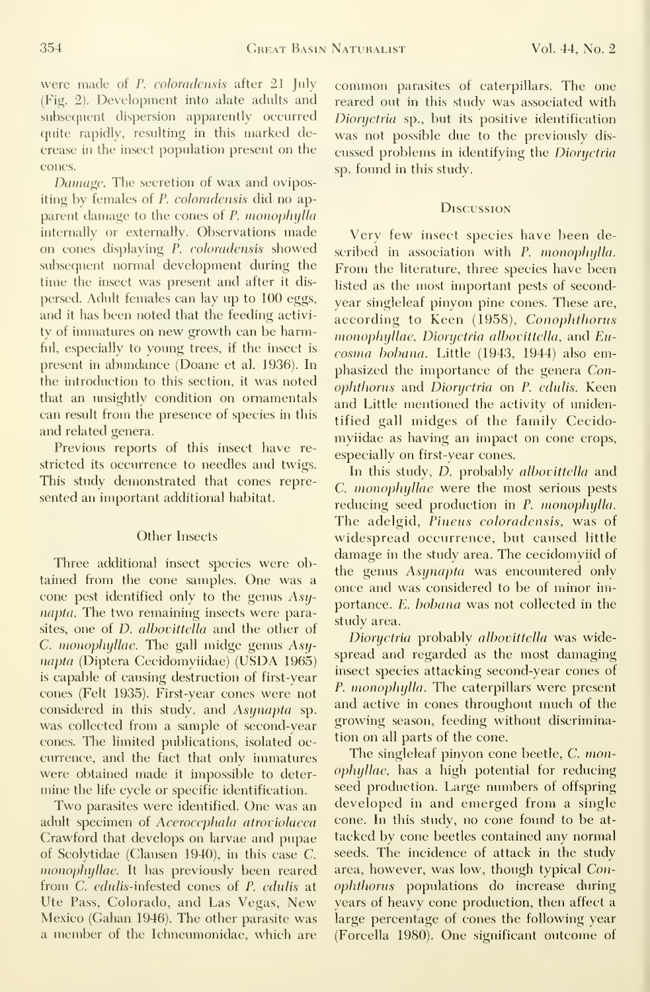were made of P. coloradensis after 21 July (Fig. 2). Development into alate adults and subsequent dispersion apparently occurred quite rapidly, resulting in this marked decrease in the insect population present on the cones.

Damage. The secretion of wax and ovipositing by females of P. coloradensis did no apparent damage to the cones of P. monophylla internally or externally. Observations made on cones displaying P. coloradensis showed subsequent normal development during the time the insect was present and after it dis persed. Adult females can lay up to 100 eggs, and it has been noted that the feeding activi ty of immatures on new growth can be harmful, especially to young trees, if the insect is present in abimdance (Doane et al. 1936). In the introduction to this section, it was noted that an imsightly condition on ornamentals can result from the presence of species in this and related genera.

Previous reports of this insect have re stricted its occurrence to needles and twigs. This study demonstrated that cones repre sented an important additional habitat.

#### Other Insects

Three additional insect species were obtained from the cone samples. One was a cone pest identified only to the genus Asynapta. The two remaining insects were parasites, one of *D. albovittella* and the other of C. monophyllae. The gall midge genus  $Asy$ napta (Diptera Cecidomyiidae) (USDA 1965) is capable of causing destruction of first-year cones (Felt 1935). First-year cones were not considered in this study, and Asynapta sp. was collected from a sample of second-year cones. The limited publications, isolated oc currence, and the fact that only inunatiues were obtained made it impossible to deter mine the life cycle or specific identification.

Two parasites were identified. One was an adult specimen of Acerocephala atroviolacea Crawford that develops on larvae and pupae of Scolytidae (Clausen 1940), in this case C. monophyllae. It has previously been reared from C. edidis-infested cones of P. edulis at Ute Pass, Colorado, and Las Vegas, New Mexico (Gahan 1946). The other parasite was a member of the Ichneumonidae, which are common parasites of caterpillars. The one reared out in this study was associated with Dioryctria sp., but its positive identification was not possible due to the previously dis cussed problems in identifying the Dioryctria sp. found in this study.

#### **Discussion**

Very few insect species have been described in association with P. monophylla. From the literature, three species have been listed as the most important pests of second year singleleaf pinyon pine cones. These are, according to Keen (1958), Conophthorus monophyllae, Dioryctria albovittella, and Eucosnia bohana. Little (1943, 1944) also emphasized the importance of the genera Conophthonis and Dioryctria on P. edulis. Keen and Little mentioned the activity of unidentified gall midges of the family Cecidomyiidae as having an impact on cone crops, especially on first-year cones.

In this study, D. probably albovittella and C. monophyllae were the most serious pests reducing seed production in P. monophylla. The adelgid, Pineus coloradensis, was of widespread occurrence, but caused little damage in the study area. The cecidomyiid of the genus Asynapta was encountered only once and was considered to be of minor importance. E. bobana was not collected in the study area.

Dioryctria probably alhovittella was widespread and regarded as the most damaging insect species attacking second-year cones of P. monophylla. The caterpillars were present and active in cones throughout much of the growing season, feeding without discrimination on all parts of the cone.

The singleleaf pinyon cone beetle, C. monophyllae, has a high potential for reducing seed production. Large numbers of offspring developed in and emerged from a single cone. In this study, no cone found to be at tacked by cone beetles contained any normal seeds. The incidence of attack in the study area, however, was low, though typical Conophthorus populations do increase during years of heavy cone production, then affect a large percentage of cones the following year (Forcella 1980). One significant outcome of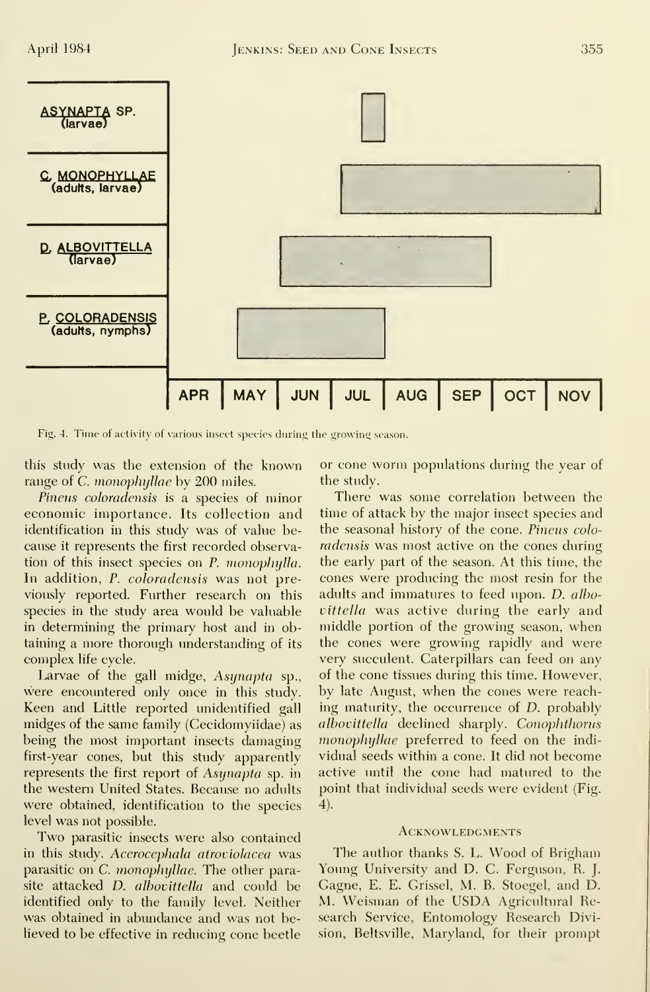

Fig. 4. Time of activity of various insect species during the growing season.

this study was the extension of the known range of *C. monophyllae* by 200 miles.

Pineus coloradensis is a species of minor economic importance. Its collection and identification in this study was of value be cause it represents the first recorded observation of this insect species on  $P$ . monophylla. In addition, P. coloradensis was not previously reported. Further research on this species in the study area would be valuable in determining the primary host and in obtaining a more thorough understanding of its complex life cycle.

Larvae of the gall midge, Asynapta sp., were encountered only once in this study. Keen and Little reported unidentified gall midges of the same family (Cecidomyiidae) as being the most important insects damaging first-year cones, but this study apparently represents the first report of Asynapta sp. in the western United States. Because no adults were obtained, identification to the species level was not possible.

Two parasitic insects were also contained in this study. A*cerocephala atroviolacea* was parasitic on C. monophyllae. The other parasite attacked *D. albovittella* and could be identified only to the family level. Neither was obtained in abundance and was not believed to be effective in reducing cone beetle

or cone worm populations during the year of the study.

There was some correlation between the time of attack by the major insect species and the seasonal history of the cone. Pineus colo radensis was most active on the cones during the early part of the season. At this time, the cones were producing the most resin for the adults and immatures to feed upon. D. albo vittella was active during the early and middle portion of the growing season, when the cones were growing rapidly and were very succulent. Caterpillars can feed on any of the cone tissues during this time. However, by late August, when the cones were reaching maturity, the occurrence of D. probably albovittella declined sharply. Conophthorus monophyllae preferred to feed on the individual seeds within a cone. It did not become active until the cone had matured to the point that individual seeds were evident (Fig. 4).

#### **ACKNOWLEDGMENTS**

The author thanks S. L. Wood of Brigham Young University and D. C. Ferguson, R. J. Gagne, E. E. Grissel, M. B. Stoegel, and D. M. Weisman of the USDA Agricultural Research Service, Entomology Research Division, Beltsville, Maryland, for their prompt